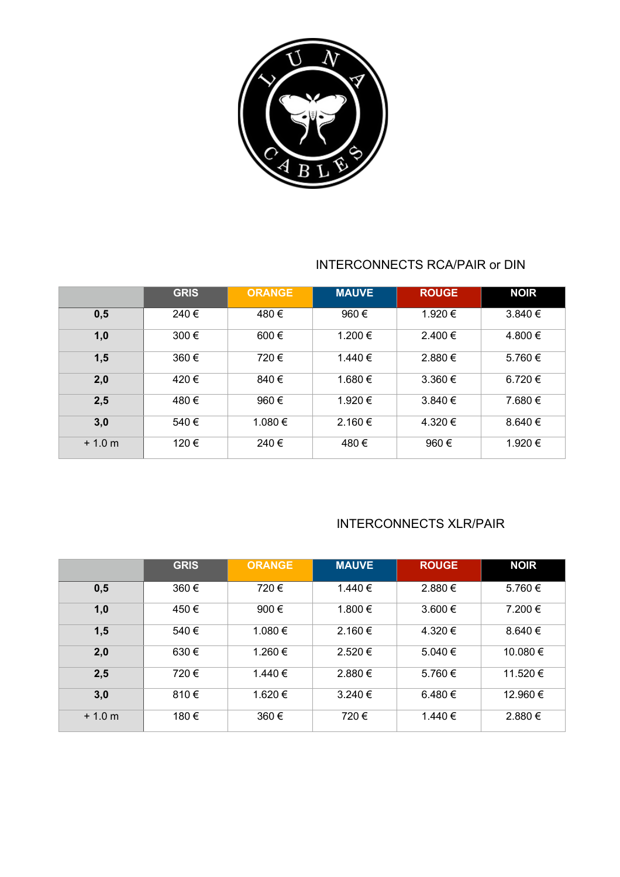

#### INTERCONNECTS RCA/PAIR or DIN

|          | <b>GRIS</b> | <b>ORANGE</b> | <b>MAUVE</b> | <b>ROUGE</b> | <b>NOIR</b> |
|----------|-------------|---------------|--------------|--------------|-------------|
| 0,5      | 240€        | 480€          | 960€         | 1.920 €      | $3.840 \in$ |
| 1,0      | 300€        | $600 \in$     | 1.200€       | $2.400 \in$  | 4.800 €     |
| 1,5      | 360€        | 720€          | 1.440 €      | 2.880 €      | 5.760€      |
| 2,0      | 420€        | 840€          | 1.680 €      | $3.360 \in$  | 6.720 €     |
| 2,5      | 480€        | 960€          | 1.920 €      | $3.840 \in$  | 7.680 €     |
| 3,0      | 540€        | 1.080€        | $2.160 \in$  | 4.320€       | $8.640 \in$ |
| $+1.0 m$ | 120€        | 240€          | 480€         | 960€         | 1.920 €     |

#### INTERCONNECTS XLR/PAIR

|          | <b>GRIS</b> | <b>ORANGE</b>  | <b>MAUVE</b> | <b>ROUGE</b> | <b>NOIR</b> |
|----------|-------------|----------------|--------------|--------------|-------------|
| 0,5      | 360€        | 720€           | 1.440 €      | 2.880 €      | 5.760€      |
| 1,0      | 450€        | 900 $\epsilon$ | 1.800 €      | 3.600 €      | 7.200€      |
| 1,5      | 540€        | 1.080€         | $2.160 \in$  | 4.320€       | $8.640 \in$ |
| 2,0      | 630€        | 1.260€         | 2.520€       | 5.040 €      | 10.080€     |
| 2,5      | 720€        | 1.440 €        | 2.880€       | 5.760€       | 11.520 €    |
| 3,0      | 810€        | 1.620€         | $3.240 \in$  | 6.480 €      | 12.960 €    |
| $+1.0 m$ | 180€        | 360€           | 720€         | 1.440 €      | 2.880€      |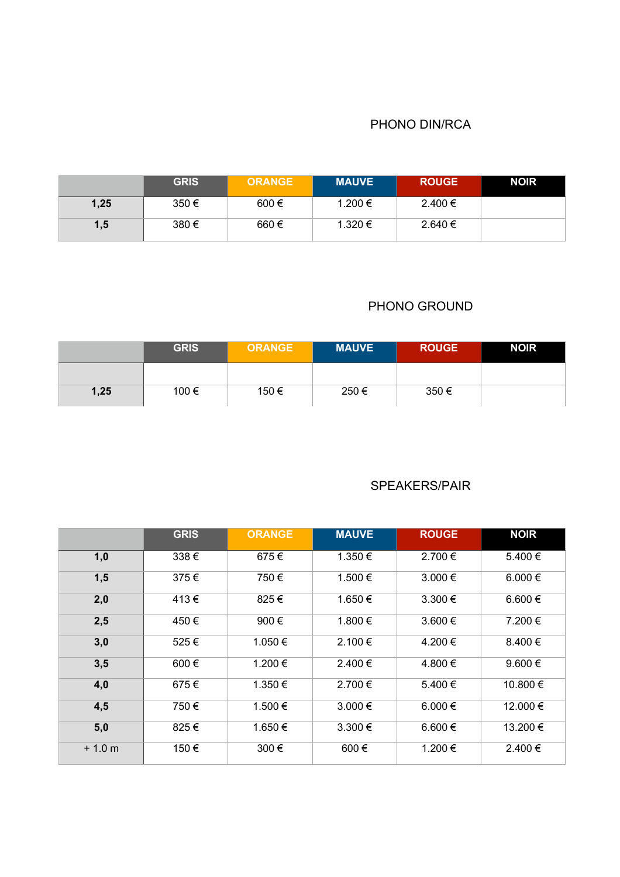#### PHONO DIN/RCA

|      | <b>GRIS</b> | <b>ORANGE</b> | <b>MAUVE</b> | <b>ROUGE</b> | <b>NOIR</b> |
|------|-------------|---------------|--------------|--------------|-------------|
| 1,25 | 350€        | $600 \in$     | 1.200 €      | $2.400 \in$  |             |
| 1,5  | 380€        | 660€          | 1.320 €      | $2.640 \in$  |             |

#### PHONO GROUND

|      | <b>GRIS</b> | <b>ORANGE</b> | <b>MAUVE</b> | <b>ROUGE</b> | <b>NOIR</b> |
|------|-------------|---------------|--------------|--------------|-------------|
|      |             |               |              |              |             |
| 1,25 | 100 €       | 150 €         | 250€         | 350€         |             |

#### SPEAKERS/PAIR

|          | <b>GRIS</b> | <b>ORANGE</b> | <b>MAUVE</b> | <b>ROUGE</b> | <b>NOIR</b> |
|----------|-------------|---------------|--------------|--------------|-------------|
| 1,0      | 338€        | 675€          | 1.350€       | 2.700€       | 5.400€      |
| 1,5      | 375€        | 750€          | 1.500 €      | 3.000€       | 6.000 $\in$ |
| 2,0      | 413€        | 825€          | 1.650 €      | $3.300 \in$  | 6.600 €     |
| 2,5      | 450€        | 900€          | 1.800 €      | 3.600€       | 7.200€      |
| 3,0      | 525€        | 1.050 €       | 2.100 €      | 4.200€       | 8.400 €     |
| 3,5      | 600€        | 1.200 €       | 2.400 €      | 4.800 €      | 9.600 $\in$ |
| 4,0      | 675€        | 1.350 €       | 2.700 €      | 5.400 €      | 10.800€     |
| 4,5      | 750€        | 1.500 €       | 3.000 €      | 6.000 €      | 12.000 €    |
| 5,0      | 825€        | 1.650€        | 3.300€       | 6.600 €      | 13.200€     |
| $+1.0 m$ | 150€        | 300€          | 600€         | 1.200€       | 2.400 €     |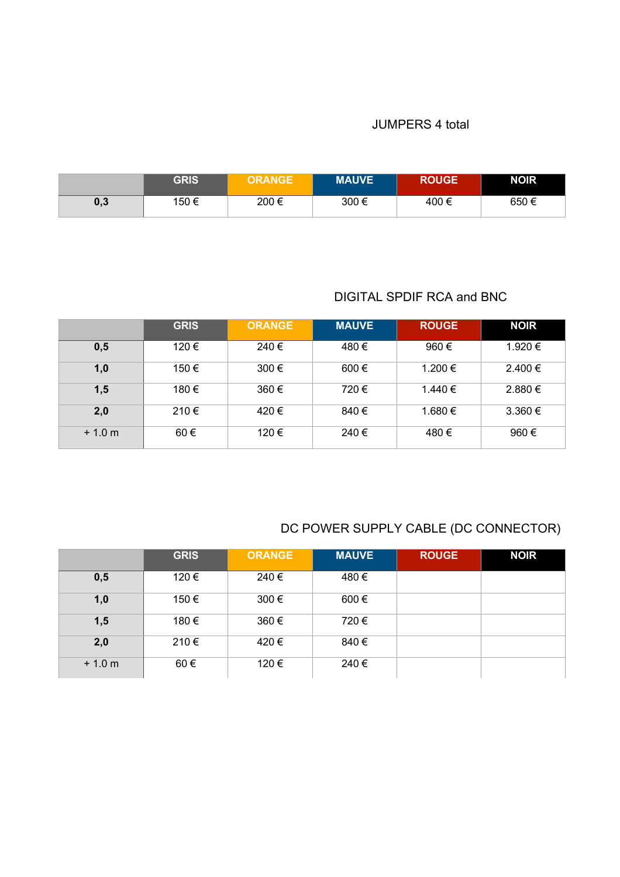#### JUMPERS 4 total

|     | <b>GRIS</b> | <b>ORANGE</b> | <b>MAUVE</b> | <b>ROUGE</b> | <b>NOIR</b> |
|-----|-------------|---------------|--------------|--------------|-------------|
| 0,3 | 150 €       | 200€          | 300€         | 400€         | 650€        |

# DIGITAL SPDIF RCA and BNC

|          | <b>GRIS</b> | <b>ORANGE</b> | <b>MAUVE</b> | <b>ROUGE</b> | <b>NOIR</b> |
|----------|-------------|---------------|--------------|--------------|-------------|
| 0,5      | 120€        | 240€          | 480€         | 960€         | 1.920 €     |
| 1,0      | 150€        | 300€          | $600 \in$    | 1.200 €      | $2.400 \in$ |
| 1,5      | 180€        | 360€          | 720€         | 1.440 €      | 2.880 €     |
| 2,0      | 210€        | 420€          | 840 €        | 1.680 €      | $3.360 \in$ |
| $+1.0 m$ | $60 \in$    | 120 €         | 240 €        | 480€         | 960€        |

# DC POWER SUPPLY CABLE (DC CONNECTOR)

|          | <b>GRIS</b> | <b>ORANGE</b> | <b>MAUVE</b> | <b>ROUGE</b> | <b>NOIR</b> |
|----------|-------------|---------------|--------------|--------------|-------------|
| 0,5      | 120€        | 240€          | 480€         |              |             |
| 1,0      | 150 €       | 300€          | $600 \in$    |              |             |
| 1,5      | 180€        | 360€          | 720€         |              |             |
| 2,0      | 210€        | 420€          | 840 €        |              |             |
| $+1.0 m$ | 60€         | 120 €         | 240 €        |              |             |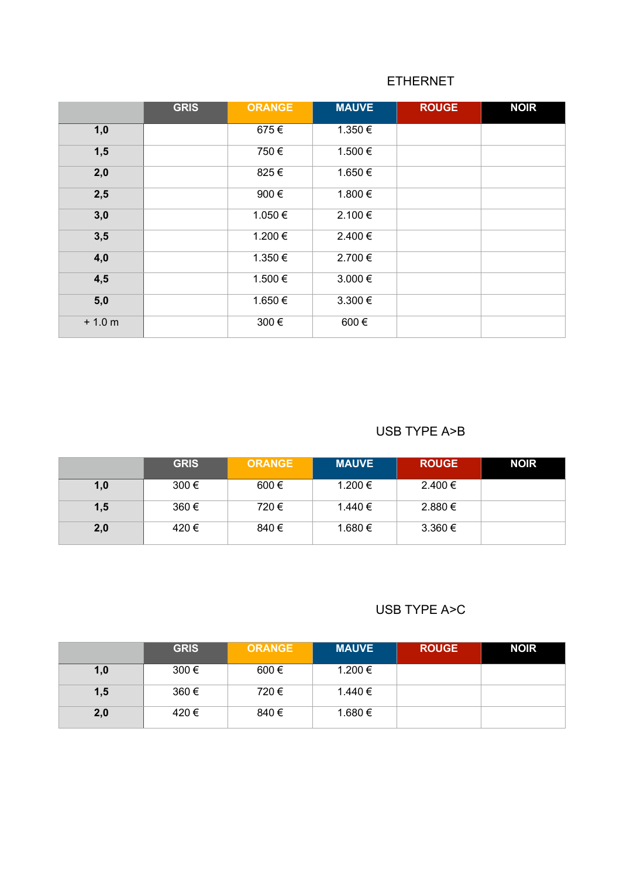### ETHERNET

|          | <b>GRIS</b> | <b>ORANGE</b> | <b>MAUVE</b> | <b>ROUGE</b> | <b>NOIR</b> |
|----------|-------------|---------------|--------------|--------------|-------------|
| 1,0      |             | 675€          | 1.350€       |              |             |
| 1,5      |             | 750€          | 1.500€       |              |             |
| 2,0      |             | 825€          | 1.650€       |              |             |
| 2,5      |             | 900€          | 1.800€       |              |             |
| 3,0      |             | 1.050€        | 2.100€       |              |             |
| 3,5      |             | 1.200€        | 2.400€       |              |             |
| 4,0      |             | 1.350€        | 2.700 €      |              |             |
| 4,5      |             | 1.500 €       | 3.000€       |              |             |
| 5,0      |             | 1.650€        | 3.300€       |              |             |
| $+1.0 m$ |             | 300€          | 600€         |              |             |

#### USB TYPE A>B

|     | <b>GRIS</b> | <b>ORANGE</b> | <b>MAUVE</b> | <b>ROUGE</b> | <b>NOIR</b> |
|-----|-------------|---------------|--------------|--------------|-------------|
| 1,0 | $300 \in$   | $600 \in$     | 1.200 €      | $2.400 \in$  |             |
| 1,5 | 360€        | 720€          | 1.440 €      | 2.880 €      |             |
| 2,0 | 420€        | 840€          | 1.680 €      | $3.360 \in$  |             |

## USB TYPE A>C

|     | <b>GRIS</b> | <b>ORANGE</b> | <b>MAUVE</b> | <b>ROUGE</b> | <b>NOIR</b> |
|-----|-------------|---------------|--------------|--------------|-------------|
| 1,0 | 300€        | $600 \in$     | 1.200 €      |              |             |
| 1,5 | 360€        | 720€          | 1.440 €      |              |             |
| 2,0 | 420€        | 840€          | 1.680 €      |              |             |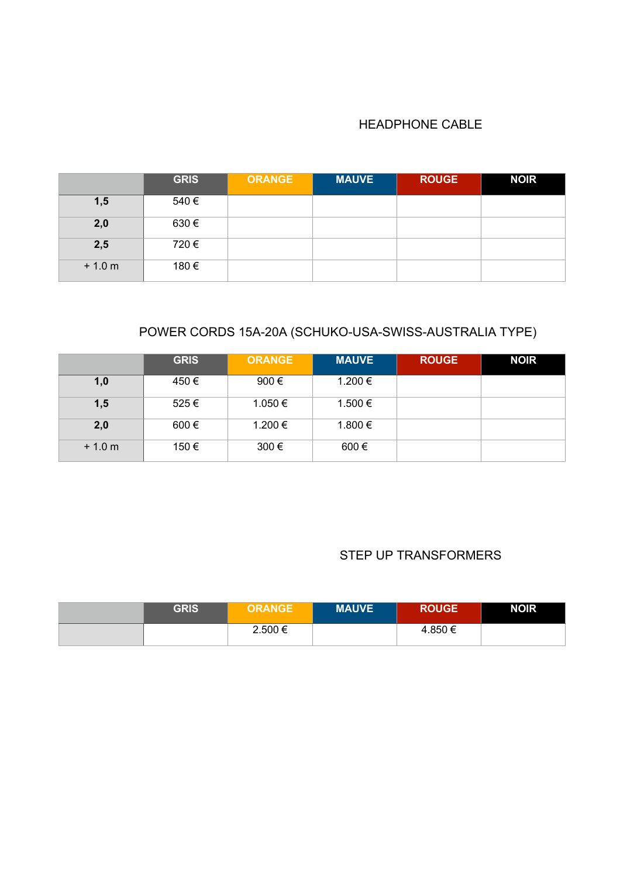#### HEADPHONE CABLE

|          | <b>GRIS</b> | <b>ORANGE</b> | <b>MAUVE</b> | <b>ROUGE</b> | <b>NOIR</b> |
|----------|-------------|---------------|--------------|--------------|-------------|
| 1,5      | 540€        |               |              |              |             |
| 2,0      | 630€        |               |              |              |             |
| 2,5      | 720€        |               |              |              |             |
| $+1.0 m$ | 180€        |               |              |              |             |

# POWER CORDS 15A-20A (SCHUKO-USA-SWISS-AUSTRALIA TYPE)

|          | <b>GRIS</b> | <b>ORANGE</b> | <b>MAUVE</b> | <b>ROUGE</b> | <b>NOIR</b> |
|----------|-------------|---------------|--------------|--------------|-------------|
| 1,0      | 450€        | 900€          | 1.200 €      |              |             |
| 1,5      | 525€        | 1.050 €       | 1.500 €      |              |             |
| 2,0      | $600 \in$   | 1.200 €       | 1.800 €      |              |             |
| $+1.0 m$ | 150 €       | 300€          | $600 \in$    |              |             |

#### STEP UP TRANSFORMERS

| GRIS | <b>ORANGE</b> | <b>MAUVE</b> | <b>ROUGE</b> | <b>NOIR</b> |
|------|---------------|--------------|--------------|-------------|
|      | 2.500 €       |              | 4.850 €      |             |